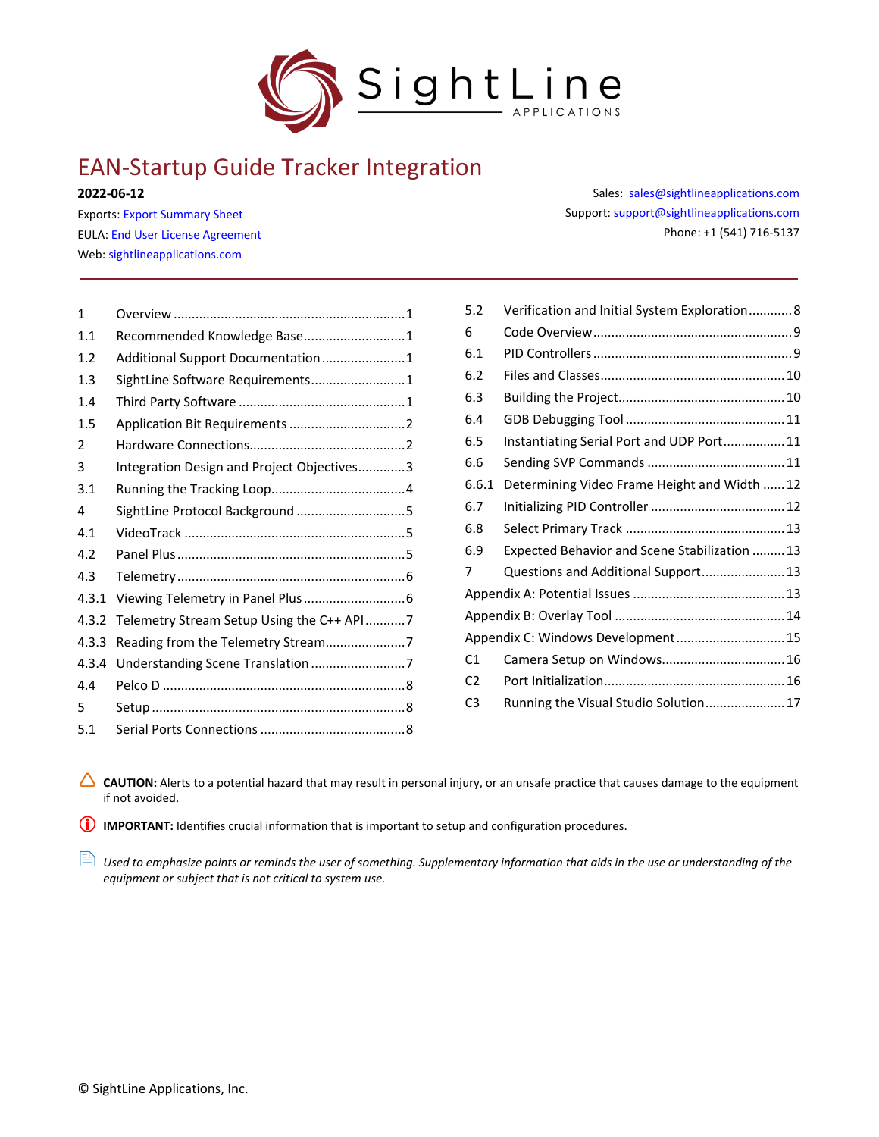

# EAN-Startup Guide Tracker Integration

#### **2022-06-12**

Exports: [Export Summary Sheet](https://sightlineapplications.com/wp-content/uploads/Exports-Summary.pdf) EULA[: End User License Agreement](https://sightlineapplications.com/wp-content/uploads/SightLine-Product-License.pdf) Web[: sightlineapplications.com](https://sightlineapplications.com/)

| 1     |                                            |
|-------|--------------------------------------------|
| 1.1   | Recommended Knowledge Base 1               |
| 1.2   | Additional Support Documentation1          |
| 1.3   | SightLine Software Requirements 1          |
| 1.4   |                                            |
| 1.5   |                                            |
| 2     |                                            |
| 3     | Integration Design and Project Objectives3 |
| 3.1   |                                            |
| 4     | SightLine Protocol Background 5            |
| 4.1   |                                            |
| 4.2   |                                            |
| 4.3   |                                            |
| 4.3.1 |                                            |
| 4.3.2 | Telemetry Stream Setup Using the C++ API7  |
| 4.3.3 | Reading from the Telemetry Stream7         |
| 4.3.4 | Understanding Scene Translation 7          |
| 4.4   |                                            |
| 5     |                                            |
| 5.1   |                                            |
|       |                                            |

Sales: [sales@sightlineapplications.com](mailto:sales@sightlineapplications.com) Support[: support@sightlineapplications.com](mailto:support@sightlineapplications.com) Phone: +1 (541) 716-5137

| 5.2            | Verification and Initial System Exploration 8 |  |
|----------------|-----------------------------------------------|--|
| 6              |                                               |  |
| 6.1            |                                               |  |
| 6.2            |                                               |  |
| 6.3            |                                               |  |
| 6.4            |                                               |  |
| 6.5            | Instantiating Serial Port and UDP Port 11     |  |
| 6.6            |                                               |  |
| 6.6.1          | Determining Video Frame Height and Width  12  |  |
| 6.7            |                                               |  |
| 6.8            |                                               |  |
| 6.9            | Expected Behavior and Scene Stabilization  13 |  |
| 7              | Questions and Additional Support 13           |  |
|                |                                               |  |
|                |                                               |  |
|                | Appendix C: Windows Development 15            |  |
| C1             | Camera Setup on Windows 16                    |  |
| C <sub>2</sub> |                                               |  |
| C <sub>3</sub> | Running the Visual Studio Solution 17         |  |

CAUTION: Alerts to a potential hazard that may result in personal injury, or an unsafe practice that causes damage to the equipment if not avoided.

**IMPORTANT:** Identifies crucial information that is important to setup and configuration procedures.

**B** Used to emphasize points or reminds the user of something. Supplementary information that aids in the use or understanding of the *equipment or subject that is not critical to system use.*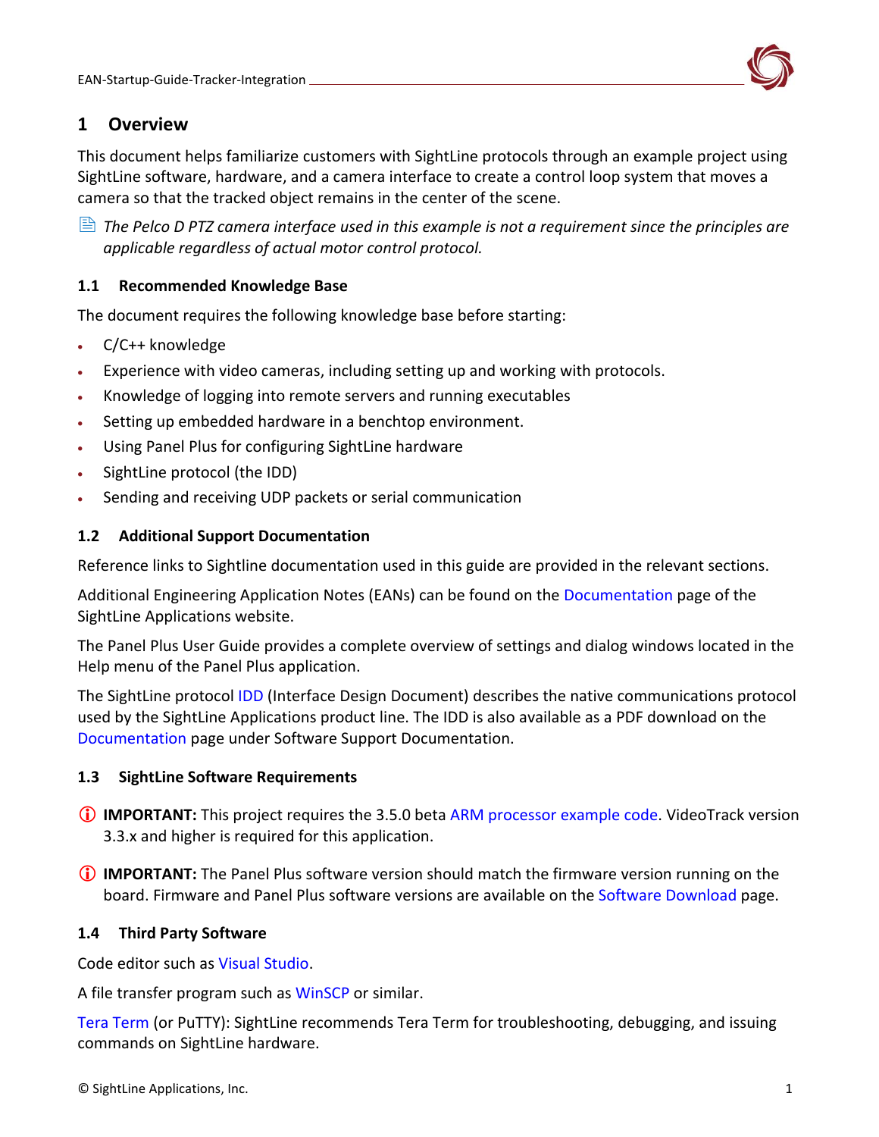

# <span id="page-1-0"></span>**1 Overview**

This document helps familiarize customers with SightLine protocols through an example project using SightLine software, hardware, and a camera interface to create a control loop system that moves a camera so that the tracked object remains in the center of the scene.

 *The Pelco D PTZ camera interface used in this example is not a requirement since the principles are applicable regardless of actual motor control protocol.*

### <span id="page-1-1"></span>**1.1 Recommended Knowledge Base**

The document requires the following knowledge base before starting:

- C/C++ knowledge
- Experience with video cameras, including setting up and working with protocols.
- Knowledge of logging into remote servers and running executables
- Setting up embedded hardware in a benchtop environment.
- Using Panel Plus for configuring SightLine hardware
- SightLine protocol (the IDD)
- Sending and receiving UDP packets or serial communication

### <span id="page-1-2"></span>**1.2 Additional Support Documentation**

Reference links to Sightline documentation used in this guide are provided in the relevant sections.

Additional Engineering Application Notes (EANs) can be found on the [Documentation](https://sightlineapplications.com/documentation/) page of the SightLine Applications website.

The Panel Plus User Guide provides a complete overview of settings and dialog windows located in the Help menu of the Panel Plus application.

The SightLine protocol [IDD](https://sightlineapplications.com/releases/IDD/current/index.html) (Interface Design Document) describes the native communications protocol used by the SightLine Applications product line. The IDD is also available as a PDF download on the [Documentation](https://sightlineapplications.com/documentation/) page under Software Support Documentation.

### <span id="page-1-3"></span>**1.3 SightLine Software Requirements**

- **IMPORTANT:** This project requires the 3.5.0 beta [ARM processor example code.](https://sightlineapplications.com/releases/beta/SLAArmExamplesInstaller_3_5_0_Beta.msi) VideoTrack version 3.3.x and higher is required for this application.
- **IMPORTANT:** The Panel Plus software version should match the firmware version running on the board. Firmware and Panel Plus software versions are available on the [Software Download](https://sightlineapplications.com/downloads/) page.

### <span id="page-1-4"></span>**1.4 Third Party Software**

Code editor such as [Visual Studio.](https://visualstudio.microsoft.com/)

A file transfer program such as [WinSCP](https://winscp.net/eng/download.php) or similar.

[Tera Term](https://ttssh2.osdn.jp/index.html.en) (or PuTTY): SightLine recommends Tera Term for troubleshooting, debugging, and issuing commands on SightLine hardware.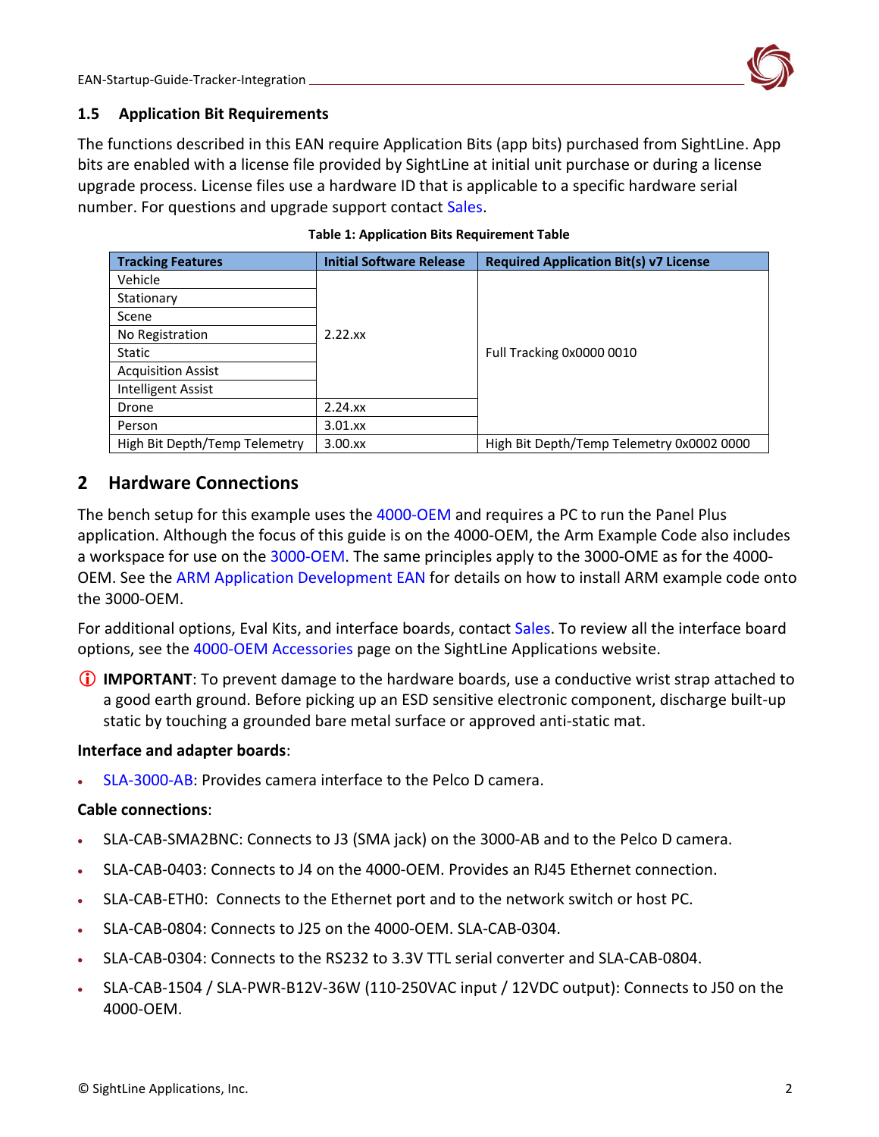

#### <span id="page-2-0"></span>**1.5 Application Bit Requirements**

The functions described in this EAN require Application Bits (app bits) purchased from SightLine. App bits are enabled with a license file provided by SightLine at initial unit purchase or during a license upgrade process. License files use a hardware ID that is applicable to a specific hardware serial number. For questions and upgrade support contact [Sales.](mailto:sales@sightlineapplications.com)

| <b>Tracking Features</b>      | <b>Initial Software Release</b> | <b>Required Application Bit(s) v7 License</b> |  |  |
|-------------------------------|---------------------------------|-----------------------------------------------|--|--|
| Vehicle                       |                                 |                                               |  |  |
| Stationary                    |                                 |                                               |  |  |
| Scene                         |                                 |                                               |  |  |
| No Registration               | $2.22$ .xx                      |                                               |  |  |
| Static                        |                                 | Full Tracking 0x0000 0010                     |  |  |
| <b>Acquisition Assist</b>     |                                 |                                               |  |  |
| Intelligent Assist            |                                 |                                               |  |  |
| Drone                         | $2.24$ . $xx$                   |                                               |  |  |
| Person                        | $3.01$ . $xx$                   |                                               |  |  |
| High Bit Depth/Temp Telemetry | $3.00$ . $xx$                   | High Bit Depth/Temp Telemetry 0x0002 0000     |  |  |

#### **Table 1: Application Bits Requirement Table**

### <span id="page-2-1"></span>**2 Hardware Connections**

The bench setup for this example uses the [4000-OEM](https://sightlineapplications.com/product/4000-oem/) and requires a PC to run the Panel Plus application. Although the focus of this guide is on the 4000-OEM, the Arm Example Code also includes a workspace for use on the [3000-OEM.](https://sightlineapplications.com/product/3000-oem/) The same principles apply to the 3000-OME as for the 4000- OEM. See the [ARM Application Development EAN](https://sightlineapplications.com/wp-content/uploads/EAN-ARM-Application-Development.pdf) for details on how to install ARM example code onto the 3000-OEM.

For additional options, Eval Kits, and interface boards, contact [Sales.](mailto:sales@sightlineapplications.com) To review all the interface board options, see the [4000-OEM Accessories](https://sightlineapplications.com/product-category/4000-hardware/4000-accessories/) page on the SightLine Applications website.

 **IMPORTANT**: To prevent damage to the hardware boards, use a conductive wrist strap attached to a good earth ground. Before picking up an ESD sensitive electronic component, discharge built-up static by touching a grounded bare metal surface or approved anti-static mat.

#### **Interface and adapter boards**:

• [SLA-3000-AB:](http://sightlineapplications.com/drawings/SLA-3000-AB_RevD_Dimensioned.pdf) Provides camera interface to the Pelco D camera.

#### **Cable connections**:

- SLA-CAB-SMA2BNC: Connects to J3 (SMA jack) on the 3000-AB and to the Pelco D camera.
- SLA-CAB-0403: Connects to J4 on the 4000-OEM. Provides an RJ45 Ethernet connection.
- SLA-CAB-ETH0: Connects to the Ethernet port and to the network switch or host PC.
- SLA-CAB-0804: Connects to J25 on the 4000-OEM. SLA-CAB-0304.
- SLA-CAB-0304: Connects to the RS232 to 3.3V TTL serial converter and SLA-CAB-0804.
- SLA-CAB-1504 / SLA-PWR-B12V-36W (110-250VAC input / 12VDC output): Connects to J50 on the 4000-OEM.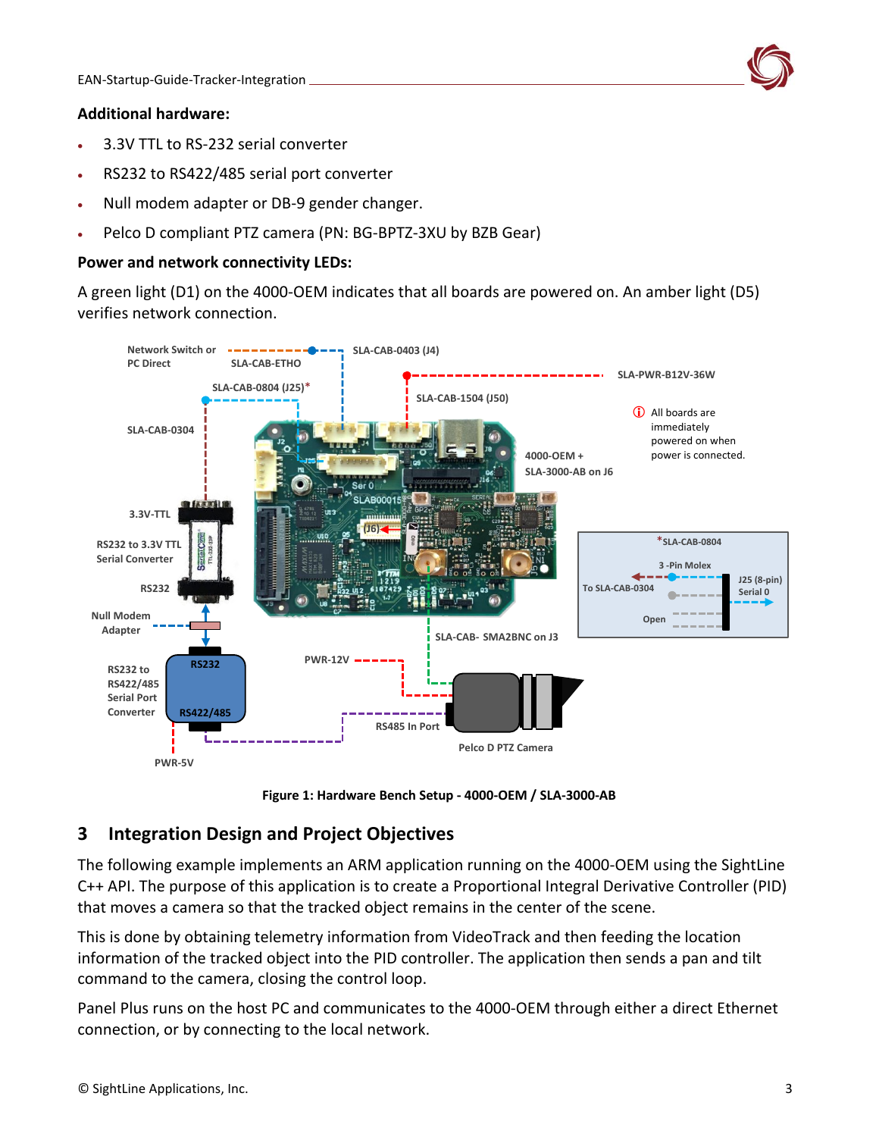### **Additional hardware:**

- 3.3V TTL to RS-232 serial converter
- RS232 to RS422/485 serial port converter
- Null modem adapter or DB-9 gender changer.
- Pelco D compliant PTZ camera (PN: BG-BPTZ-3XU by BZB Gear)

#### **Power and network connectivity LEDs:**

A green light (D1) on the 4000-OEM indicates that all boards are powered on. An amber light (D5) verifies network connection.



**Figure 1: Hardware Bench Setup - 4000-OEM / SLA-3000-AB**

# <span id="page-3-0"></span>**3 Integration Design and Project Objectives**

The following example implements an ARM application running on the 4000-OEM using the SightLine C++ API. The purpose of this application is to create a Proportional Integral Derivative Controller (PID) that moves a camera so that the tracked object remains in the center of the scene.

This is done by obtaining telemetry information from VideoTrack and then feeding the location information of the tracked object into the PID controller. The application then sends a pan and tilt command to the camera, closing the control loop.

Panel Plus runs on the host PC and communicates to the 4000-OEM through either a direct Ethernet connection, or by connecting to the local network.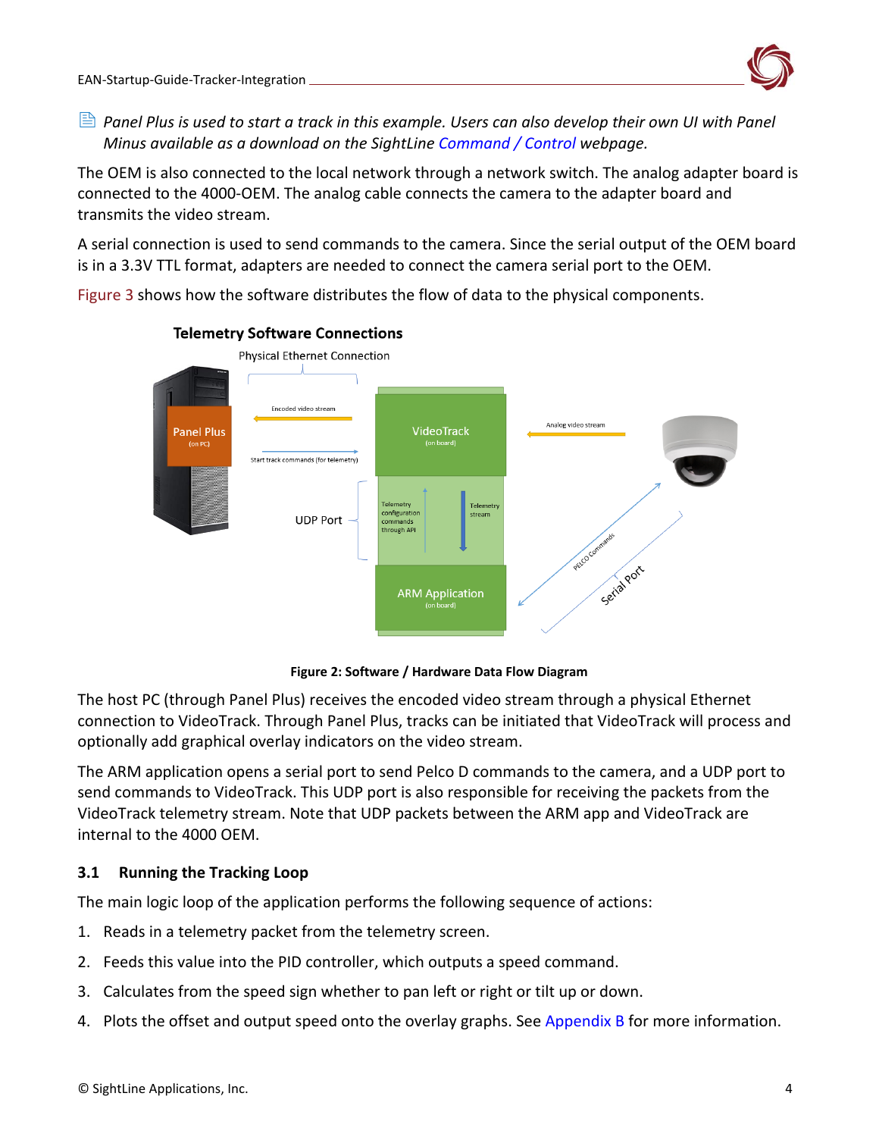![](_page_4_Picture_1.jpeg)

 *Panel Plus is used to start a track in this example. Users can also develop their own UI with Panel Minus available as a download on the SightLine [Command / Control](https://sightlineapplications.com/command-control/) webpage.* 

The OEM is also connected to the local network through a network switch. The analog adapter board is connected to the 4000-OEM. The analog cable connects the camera to the adapter board and transmits the video stream.

A serial connection is used to send commands to the camera. Since the serial output of the OEM board is in a 3.3V TTL format, adapters are needed to connect the camera serial port to the OEM.

Figure 3 shows how the software distributes the flow of data to the physical components.

![](_page_4_Figure_6.jpeg)

#### **Telemetry Software Connections**

**Figure 2: Software / Hardware Data Flow Diagram** 

The host PC (through Panel Plus) receives the encoded video stream through a physical Ethernet connection to VideoTrack. Through Panel Plus, tracks can be initiated that VideoTrack will process and optionally add graphical overlay indicators on the video stream.

The ARM application opens a serial port to send Pelco D commands to the camera, and a UDP port to send commands to VideoTrack. This UDP port is also responsible for receiving the packets from the VideoTrack telemetry stream. Note that UDP packets between the ARM app and VideoTrack are internal to the 4000 OEM.

### <span id="page-4-0"></span>**3.1 Running the Tracking Loop**

The main logic loop of the application performs the following sequence of actions:

- 1. Reads in a telemetry packet from the telemetry screen.
- 2. Feeds this value into the PID controller, which outputs a speed command.
- 3. Calculates from the speed sign whether to pan left or right or tilt up or down.
- 4. Plots the offset and output speed onto the overlay graphs. See [Appendix](#page-14-0) B for more information.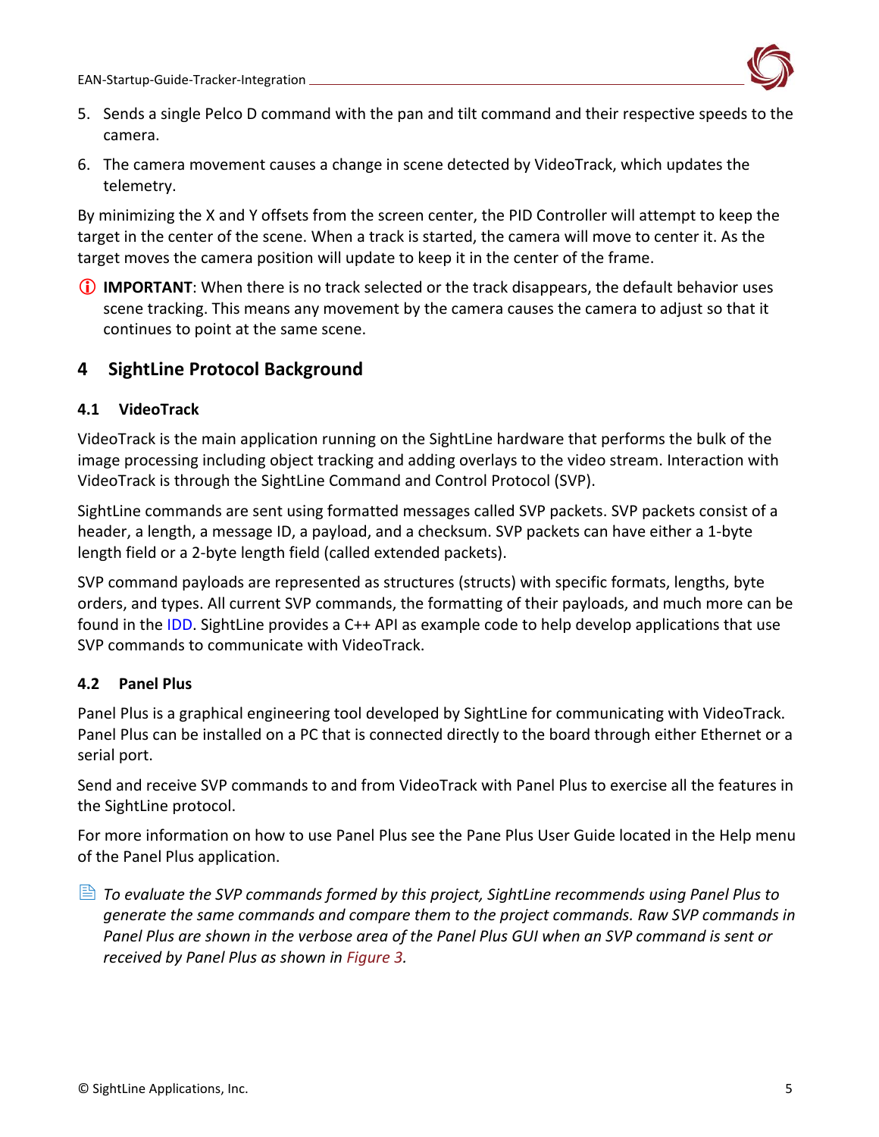![](_page_5_Picture_1.jpeg)

- 5. Sends a single Pelco D command with the pan and tilt command and their respective speeds to the camera.
- 6. The camera movement causes a change in scene detected by VideoTrack, which updates the telemetry.

By minimizing the X and Y offsets from the screen center, the PID Controller will attempt to keep the target in the center of the scene. When a track is started, the camera will move to center it. As the target moves the camera position will update to keep it in the center of the frame.

**IMPORTANT**: When there is no track selected or the track disappears, the default behavior uses scene tracking. This means any movement by the camera causes the camera to adjust so that it continues to point at the same scene.

# <span id="page-5-0"></span>**4 SightLine Protocol Background**

### <span id="page-5-1"></span>**4.1 VideoTrack**

VideoTrack is the main application running on the SightLine hardware that performs the bulk of the image processing including object tracking and adding overlays to the video stream. Interaction with VideoTrack is through the SightLine Command and Control Protocol (SVP).

SightLine commands are sent using formatted messages called SVP packets. SVP packets consist of a header, a length, a message ID, a payload, and a checksum. SVP packets can have either a 1-byte length field or a 2-byte length field (called extended packets).

SVP command payloads are represented as structures (structs) with specific formats, lengths, byte orders, and types. All current SVP commands, the formatting of their payloads, and much more can be found in the [IDD.](https://sightlineapplications.com/releases/IDD/current/) SightLine provides a C++ API as example code to help develop applications that use SVP commands to communicate with VideoTrack.

# <span id="page-5-2"></span>**4.2 Panel Plus**

Panel Plus is a graphical engineering tool developed by SightLine for communicating with VideoTrack. Panel Plus can be installed on a PC that is connected directly to the board through either Ethernet or a serial port.

Send and receive SVP commands to and from VideoTrack with Panel Plus to exercise all the features in the SightLine protocol.

For more information on how to use Panel Plus see the Pane Plus User Guide located in the Help menu of the Panel Plus application.

 *To evaluate the SVP commands formed by this project, SightLine recommends using Panel Plus to generate the same commands and compare them to the project commands. Raw SVP commands in Panel Plus are shown in the verbose area of the Panel Plus GUI when an SVP command is sent or received by Panel Plus as shown in Figure 3.*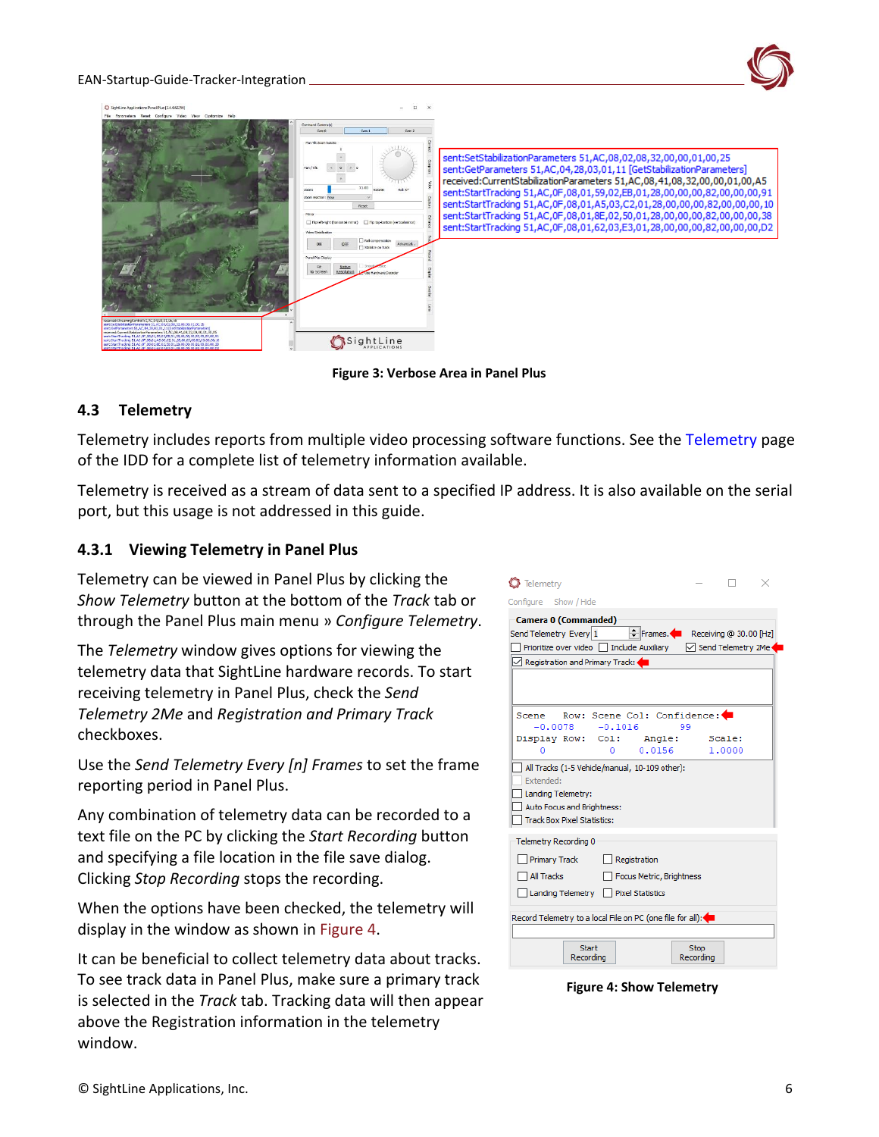#### EAN-Startup-Guide-Tracker-Integration

![](_page_6_Picture_1.jpeg)

**Figure 3: Verbose Area in Panel Plus**

### <span id="page-6-0"></span>**4.3 Telemetry**

Telemetry includes reports from multiple video processing software functions. See the [Telemetry](https://sightlineapplications.com/releases/IDD/current/group__telemetry.html) page of the IDD for a complete list of telemetry information available.

Telemetry is received as a stream of data sent to a specified IP address. It is also available on the serial port, but this usage is not addressed in this guide.

### <span id="page-6-1"></span>**4.3.1 Viewing Telemetry in Panel Plus**

Telemetry can be viewed in Panel Plus by clicking the *Show Telemetry* button at the bottom of the *Track* tab or through the Panel Plus main menu » *Configure Telemetry*.

The *Telemetry* window gives options for viewing the telemetry data that SightLine hardware records. To start receiving telemetry in Panel Plus, check the *Send Telemetry 2Me* and *Registration and Primary Track* checkboxes.

Use the *Send Telemetry Every [n] Frames* to set the frame reporting period in Panel Plus.

Any combination of telemetry data can be recorded to a text file on the PC by clicking the *Start Recording* button and specifying a file location in the file save dialog. Clicking *Stop Recording* stops the recording.

When the options have been checked, the telemetry will display in the window as shown in Figure 4.

It can be beneficial to collect telemetry data about tracks. To see track data in Panel Plus, make sure a primary track is selected in the *Track* tab. Tracking data will then appear above the Registration information in the telemetry window.

| Telemetry                                                      |                    |        |  |  |  |  |  |  |
|----------------------------------------------------------------|--------------------|--------|--|--|--|--|--|--|
| Configure Show / Hide                                          |                    |        |  |  |  |  |  |  |
| <b>Camera 0 (Commanded)</b>                                    |                    |        |  |  |  |  |  |  |
| Frames. Receiving @ 30.00 [Hz]<br>Send Telemetry Every 1       |                    |        |  |  |  |  |  |  |
| Prioritize over video □ Include Auxiliary                      | Send Telemetry 2Me |        |  |  |  |  |  |  |
| Registration and Primary Track:                                |                    |        |  |  |  |  |  |  |
|                                                                |                    |        |  |  |  |  |  |  |
|                                                                |                    |        |  |  |  |  |  |  |
| Row: Scene Col: Confidence: O<br>Scene                         |                    |        |  |  |  |  |  |  |
| $-0.0078 - 0.1016$                                             | 99                 |        |  |  |  |  |  |  |
| Display Row: Col: Angle: Scale:<br>0.0156<br>o<br>$\mathbf{O}$ |                    | 1,0000 |  |  |  |  |  |  |
| All Tracks (1-5 Vehicle/manual, 10-109 other):                 |                    |        |  |  |  |  |  |  |
| <b>Extended:</b>                                               |                    |        |  |  |  |  |  |  |
| Landing Telemetry:                                             |                    |        |  |  |  |  |  |  |
| Auto Focus and Brightness:                                     |                    |        |  |  |  |  |  |  |
| <b>Track Box Pixel Statistics:</b>                             |                    |        |  |  |  |  |  |  |
| Telemetry Recording 0                                          |                    |        |  |  |  |  |  |  |
| Registration<br>Primary Track                                  |                    |        |  |  |  |  |  |  |
| All Tracks<br>Focus Metric, Brightness                         |                    |        |  |  |  |  |  |  |
| Landing Telemetry Pixel Statistics                             |                    |        |  |  |  |  |  |  |
|                                                                |                    |        |  |  |  |  |  |  |
| Record Telemetry to a local File on PC (one file for all):     |                    |        |  |  |  |  |  |  |
|                                                                |                    |        |  |  |  |  |  |  |
| Start<br>Recording                                             | Stop<br>Recording  |        |  |  |  |  |  |  |

**Figure 4: Show Telemetry**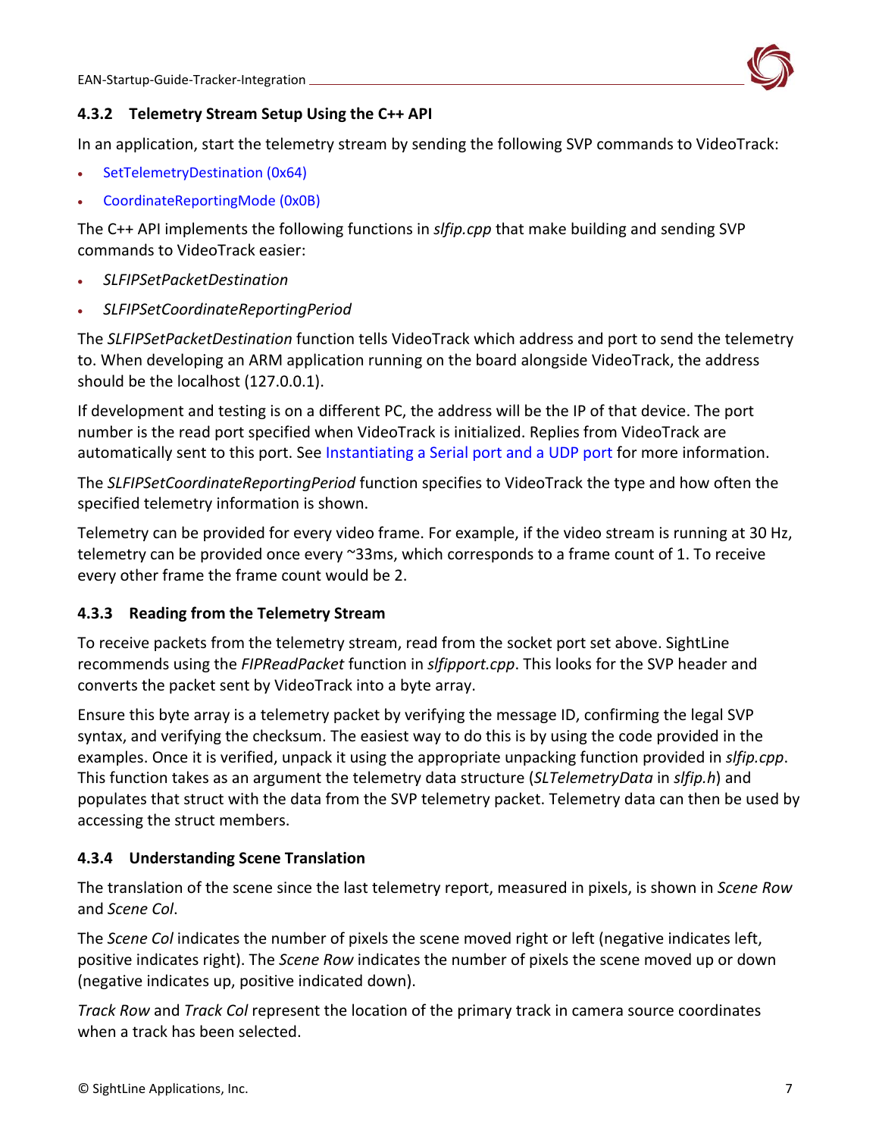![](_page_7_Picture_1.jpeg)

### <span id="page-7-0"></span>**4.3.2 Telemetry Stream Setup Using the C++ API**

In an application, start the telemetry stream by sending the following SVP commands to VideoTrack:

- [SetTelemetryDestination \(0x64\)](https://sightlineapplications.com/releases/IDD/current/struct_s_l_a_set_telemetry_destination__t.html)
- [CoordinateReportingMode \(0x0B\)](https://sightlineapplications.com/releases/IDD/current/struct_s_l_a_coordinate_reporting_mode__t.html)

The C++ API implements the following functions in *slfip.cpp* that make building and sending SVP commands to VideoTrack easier:

- *SLFIPSetPacketDestination*
- *SLFIPSetCoordinateReportingPeriod*

The *SLFIPSetPacketDestination* function tells VideoTrack which address and port to send the telemetry to. When developing an ARM application running on the board alongside VideoTrack, the address should be the localhost (127.0.0.1).

If development and testing is on a different PC, the address will be the IP of that device. The port number is the read port specified when VideoTrack is initialized. Replies from VideoTrack are automatically sent to this port. See [Instantiating a Serial port and a UDP port](#page-11-1) for more information.

The *SLFIPSetCoordinateReportingPeriod* function specifies to VideoTrack the type and how often the specified telemetry information is shown.

Telemetry can be provided for every video frame. For example, if the video stream is running at 30 Hz, telemetry can be provided once every ~33ms, which corresponds to a frame count of 1. To receive every other frame the frame count would be 2.

### <span id="page-7-1"></span>**4.3.3 Reading from the Telemetry Stream**

To receive packets from the telemetry stream, read from the socket port set above. SightLine recommends using the *FIPReadPacket* function in *slfipport.cpp*. This looks for the SVP header and converts the packet sent by VideoTrack into a byte array.

Ensure this byte array is a telemetry packet by verifying the message ID, confirming the legal SVP syntax, and verifying the checksum. The easiest way to do this is by using the code provided in the examples. Once it is verified, unpack it using the appropriate unpacking function provided in *slfip.cpp*. This function takes as an argument the telemetry data structure (*SLTelemetryData* in *slfip.h*) and populates that struct with the data from the SVP telemetry packet. Telemetry data can then be used by accessing the struct members.

### <span id="page-7-2"></span>**4.3.4 Understanding Scene Translation**

The translation of the scene since the last telemetry report, measured in pixels, is shown in *Scene Row* and *Scene Col*.

The *Scene Col* indicates the number of pixels the scene moved right or left (negative indicates left, positive indicates right). The *Scene Row* indicates the number of pixels the scene moved up or down (negative indicates up, positive indicated down).

*Track Row* and *Track Col* represent the location of the primary track in camera source coordinates when a track has been selected.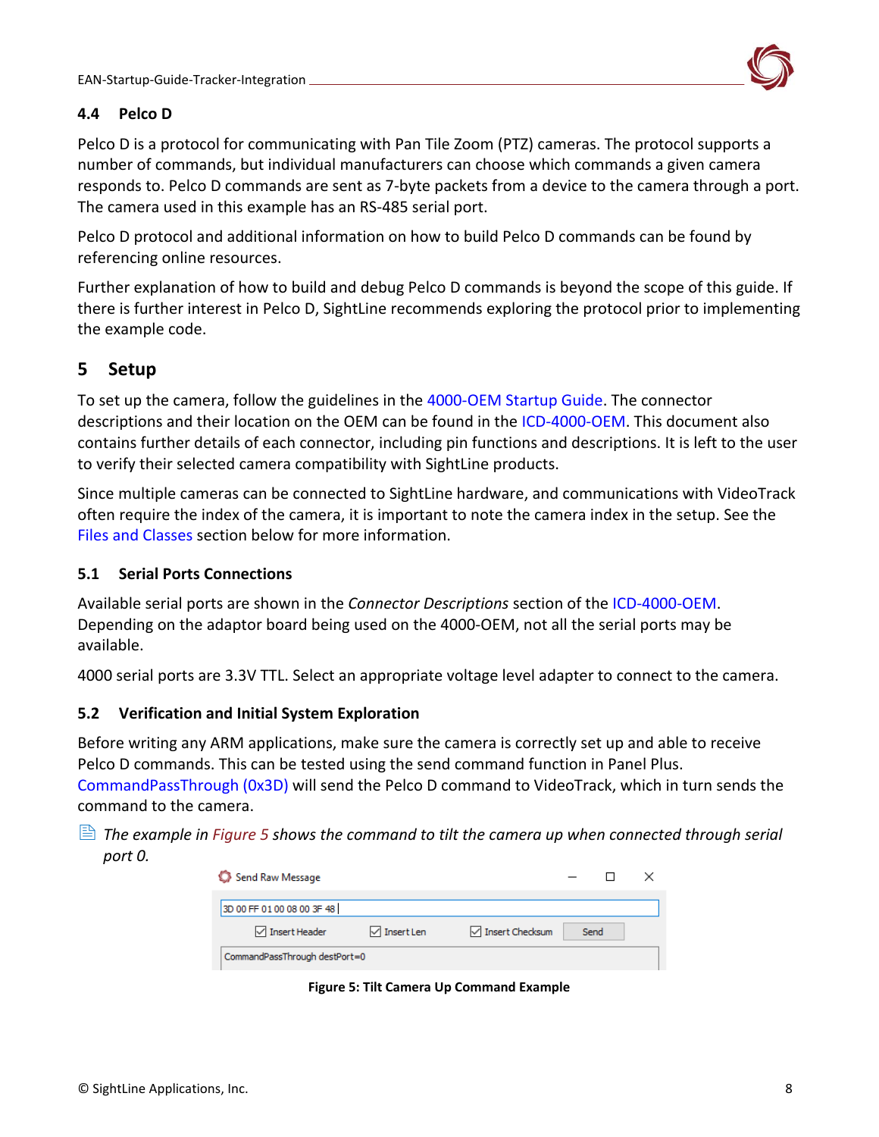![](_page_8_Picture_1.jpeg)

### <span id="page-8-0"></span>**4.4 Pelco D**

Pelco D is a protocol for communicating with Pan Tile Zoom (PTZ) cameras. The protocol supports a number of commands, but individual manufacturers can choose which commands a given camera responds to. Pelco D commands are sent as 7-byte packets from a device to the camera through a port. The camera used in this example has an RS-485 serial port.

Pelco D protocol and additional information on how to build Pelco D commands can be found by referencing online resources.

Further explanation of how to build and debug Pelco D commands is beyond the scope of this guide. If there is further interest in Pelco D, SightLine recommends exploring the protocol prior to implementing the example code.

# <span id="page-8-1"></span>**5 Setup**

To set up the camera, follow the guidelines in the [4000-OEM Startup Guide.](https://sightlineapplications.com/wp-content/uploads/EAN-Startup-Guide-4000-OEM.pdf) The connector descriptions and their location on the OEM can be found in the [ICD-4000-OEM.](https://sightlineapplications.com/wp-content/uploads/ICD-4000-OEM.pdf) This document also contains further details of each connector, including pin functions and descriptions. It is left to the user to verify their selected camera compatibility with SightLine products.

Since multiple cameras can be connected to SightLine hardware, and communications with VideoTrack often require the index of the camera, it is important to note the camera index in the setup. See the [Files and Classes](#page-10-0) section below for more information.

### <span id="page-8-2"></span>**5.1 Serial Ports Connections**

Available serial ports are shown in the *Connector Descriptions* section of the [ICD-4000-OEM.](https://sightlineapplications.com/wp-content/uploads/ICD-4000-OEM.pdf) Depending on the adaptor board being used on the 4000-OEM, not all the serial ports may be available.

4000 serial ports are 3.3V TTL. Select an appropriate voltage level adapter to connect to the camera.

### <span id="page-8-3"></span>**5.2 Verification and Initial System Exploration**

Before writing any ARM applications, make sure the camera is correctly set up and able to receive Pelco D commands. This can be tested using the send command function in Panel Plus.

[CommandPassThrough \(0x3D\)](https://sightlineapplications.com/releases/IDD/current/struct_s_l_a_command_pass_through__t.html) will send the Pelco D command to VideoTrack, which in turn sends the command to the camera.

 *The example in Figure 5 shows the command to tilt the camera up when connected through serial port 0.* 

| Send Raw Message              |                            |                           |  |      |  |  |  |  |
|-------------------------------|----------------------------|---------------------------|--|------|--|--|--|--|
| 3D 00 FF 01 00 08 00 3F 48    |                            |                           |  |      |  |  |  |  |
| $\vee$ Insert Header          | $\triangledown$ Insert Len | $\sqrt{}$ Insert Checksum |  | Send |  |  |  |  |
| CommandPassThrough destPort=0 |                            |                           |  |      |  |  |  |  |

**Figure 5: Tilt Camera Up Command Example**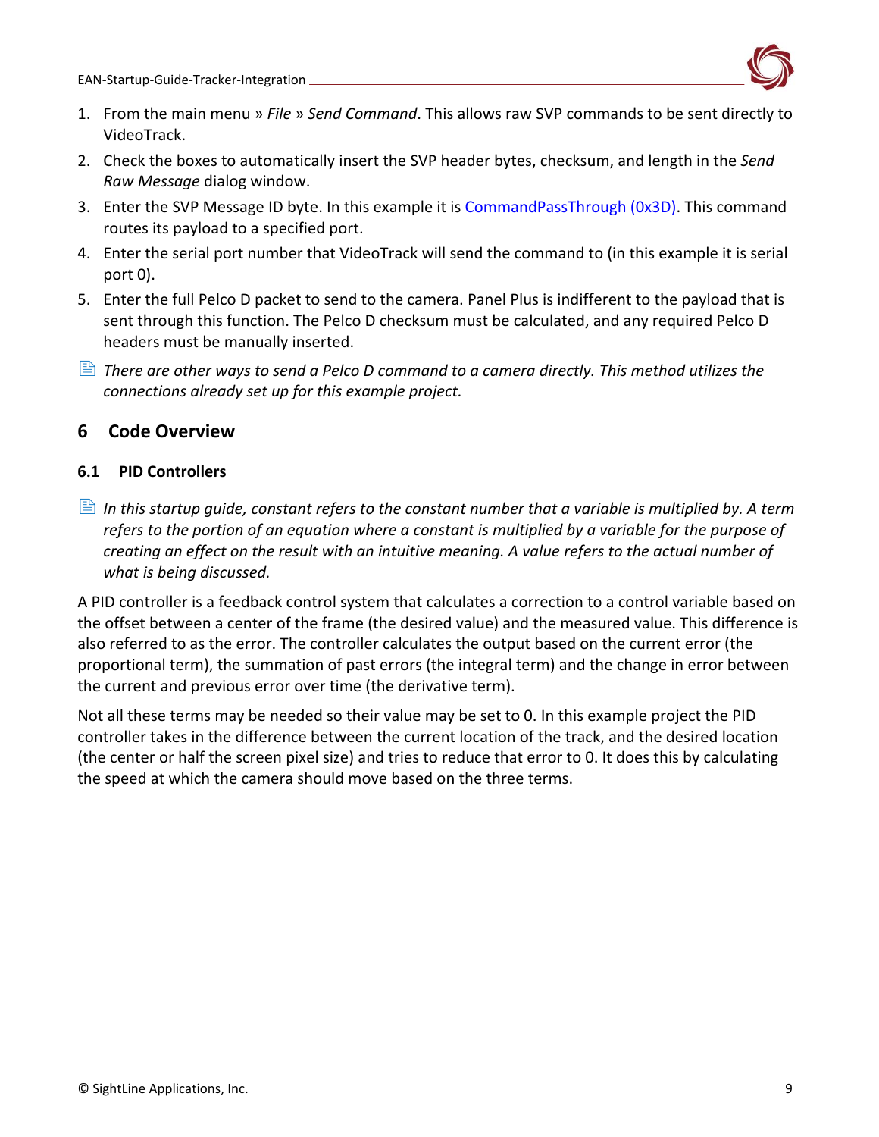![](_page_9_Picture_1.jpeg)

- 1. From the main menu » *File* » *Send Command*. This allows raw SVP commands to be sent directly to VideoTrack.
- 2. Check the boxes to automatically insert the SVP header bytes, checksum, and length in the *Send Raw Message* dialog window.
- 3. Enter the SVP Message ID byte. In this example it is [CommandPassThrough \(0x3D\).](https://sightlineapplications.com/releases/IDD/current/struct_s_l_a_command_pass_through__t.html) This command routes its payload to a specified port.
- 4. Enter the serial port number that VideoTrack will send the command to (in this example it is serial port 0).
- 5. Enter the full Pelco D packet to send to the camera. Panel Plus is indifferent to the payload that is sent through this function. The Pelco D checksum must be calculated, and any required Pelco D headers must be manually inserted.
- **E** There are other ways to send a Pelco D command to a camera directly. This method utilizes the *connections already set up for this example project.*

### <span id="page-9-0"></span>**6 Code Overview**

### <span id="page-9-1"></span>**6.1 PID Controllers**

 *In this startup guide, constant refers to the constant number that a variable is multiplied by. A term refers to the portion of an equation where a constant is multiplied by a variable for the purpose of creating an effect on the result with an intuitive meaning. A value refers to the actual number of what is being discussed.* 

A PID controller is a feedback control system that calculates a correction to a control variable based on the offset between a center of the frame (the desired value) and the measured value. This difference is also referred to as the error. The controller calculates the output based on the current error (the proportional term), the summation of past errors (the integral term) and the change in error between the current and previous error over time (the derivative term).

Not all these terms may be needed so their value may be set to 0. In this example project the PID controller takes in the difference between the current location of the track, and the desired location (the center or half the screen pixel size) and tries to reduce that error to 0. It does this by calculating the speed at which the camera should move based on the three terms.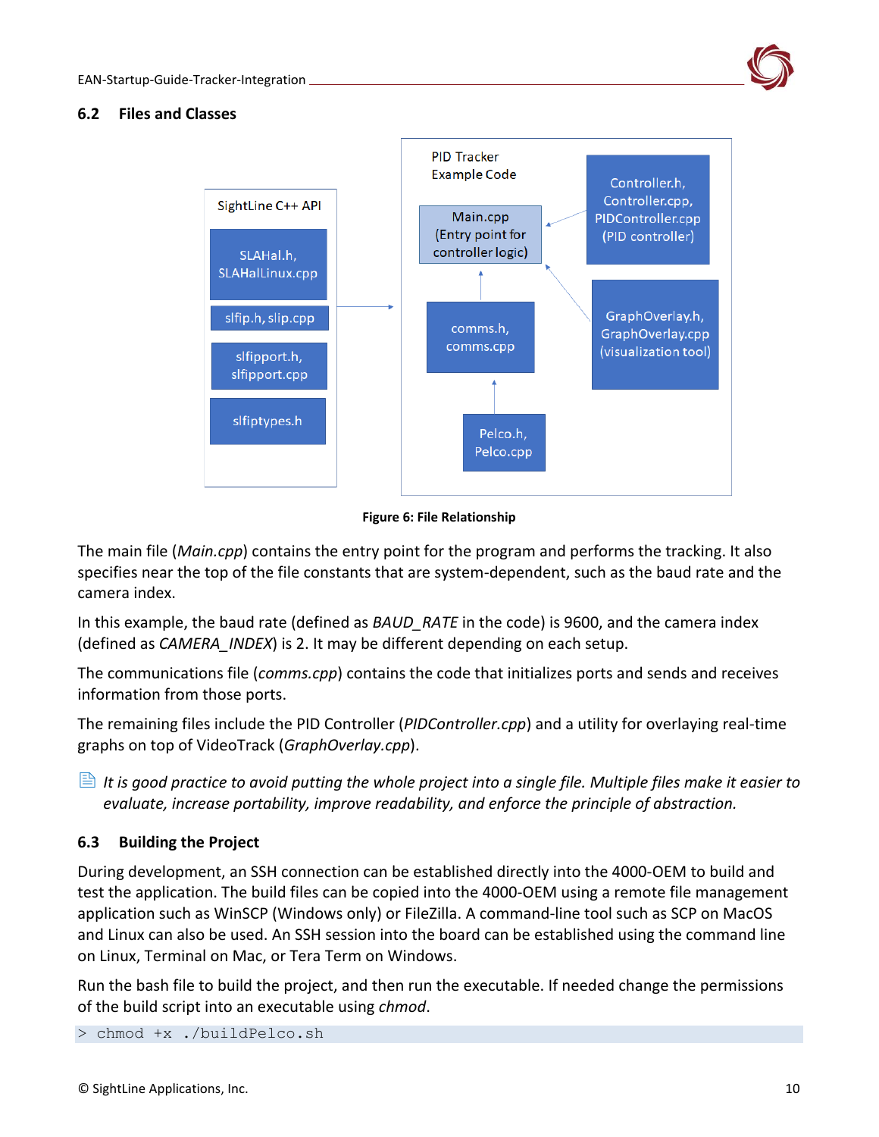![](_page_10_Picture_1.jpeg)

### <span id="page-10-0"></span>**6.2 Files and Classes**

![](_page_10_Figure_3.jpeg)

**Figure 6: File Relationship**

The main file (*Main.cpp*) contains the entry point for the program and performs the tracking. It also specifies near the top of the file constants that are system-dependent, such as the baud rate and the camera index.

In this example, the baud rate (defined as *BAUD\_RATE* in the code) is 9600, and the camera index (defined as *CAMERA\_INDEX*) is 2. It may be different depending on each setup.

The communications file (*comms.cpp*) contains the code that initializes ports and sends and receives information from those ports.

The remaining files include the PID Controller (*PIDController.cpp*) and a utility for overlaying real-time graphs on top of VideoTrack (*GraphOverlay.cpp*).

 *It is good practice to avoid putting the whole project into a single file. Multiple files make it easier to evaluate, increase portability, improve readability, and enforce the principle of abstraction.*

### <span id="page-10-1"></span>**6.3 Building the Project**

During development, an SSH connection can be established directly into the 4000-OEM to build and test the application. The build files can be copied into the 4000-OEM using a remote file management application such as WinSCP (Windows only) or FileZilla. A command-line tool such as SCP on MacOS and Linux can also be used. An SSH session into the board can be established using the command line on Linux, Terminal on Mac, or Tera Term on Windows.

Run the bash file to build the project, and then run the executable. If needed change the permissions of the build script into an executable using *chmod*.

> chmod +x ./buildPelco.sh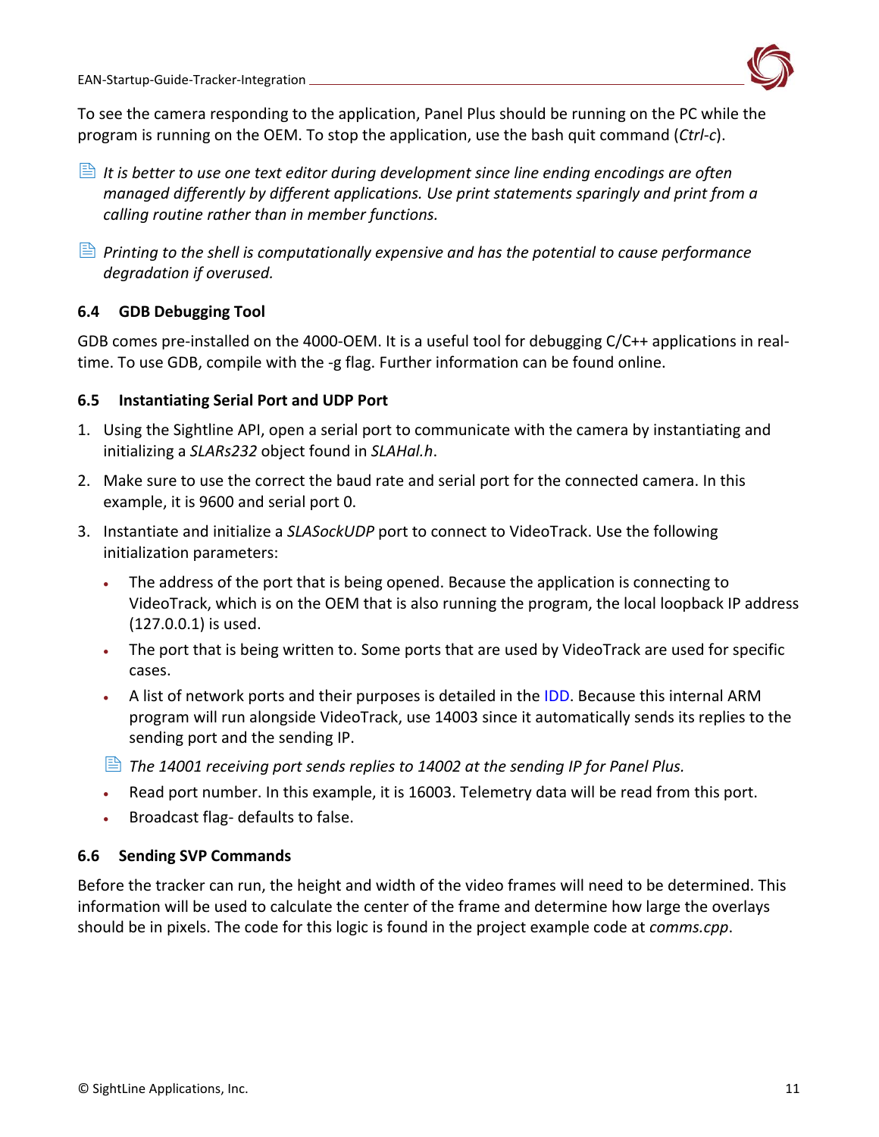![](_page_11_Picture_1.jpeg)

To see the camera responding to the application, Panel Plus should be running on the PC while the program is running on the OEM. To stop the application, use the bash quit command (*Ctrl-c*).

- *It is better to use one text editor during development since line ending encodings are often managed differently by different applications. Use print statements sparingly and print from a calling routine rather than in member functions.*
- *Printing to the shell is computationally expensive and has the potential to cause performance degradation if overused.*

### <span id="page-11-0"></span>**6.4 GDB Debugging Tool**

GDB comes pre-installed on the 4000-OEM. It is a useful tool for debugging C/C++ applications in realtime. To use GDB, compile with the -g flag. Further information can be found online.

### <span id="page-11-1"></span>**6.5 Instantiating Serial Port and UDP Port**

- 1. Using the Sightline API, open a serial port to communicate with the camera by instantiating and initializing a *SLARs232* object found in *SLAHal.h*.
- 2. Make sure to use the correct the baud rate and serial port for the connected camera. In this example, it is 9600 and serial port 0.
- 3. Instantiate and initialize a *SLASockUDP* port to connect to VideoTrack. Use the following initialization parameters:
	- The address of the port that is being opened. Because the application is connecting to VideoTrack, which is on the OEM that is also running the program, the local loopback IP address (127.0.0.1) is used.
	- The port that is being written to. Some ports that are used by VideoTrack are used for specific cases.
	- A list of network ports and their purposes is detailed in the [IDD.](https://sightlineapplications.com/releases/IDD/current/#Communication) Because this internal ARM program will run alongside VideoTrack, use 14003 since it automatically sends its replies to the sending port and the sending IP.
	- *The 14001 receiving port sends replies to 14002 at the sending IP for Panel Plus.*
	- Read port number. In this example, it is 16003. Telemetry data will be read from this port.
	- Broadcast flag- defaults to false.

# <span id="page-11-2"></span>**6.6 Sending SVP Commands**

Before the tracker can run, the height and width of the video frames will need to be determined. This information will be used to calculate the center of the frame and determine how large the overlays should be in pixels. The code for this logic is found in the project example code at *comms.cpp*.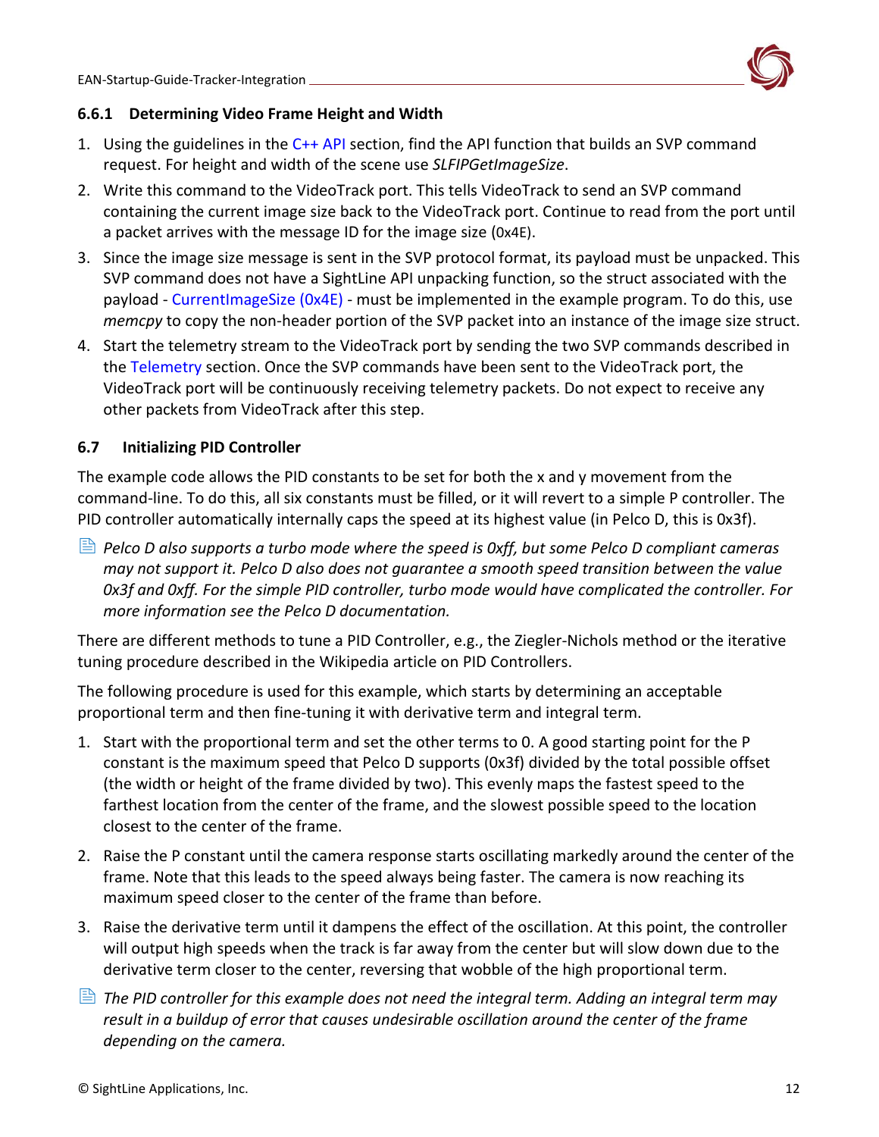![](_page_12_Picture_1.jpeg)

### <span id="page-12-0"></span>**6.6.1 Determining Video Frame Height and Width**

- 1. Using the guidelines in the  $C_{++}$  API section, find the API function that builds an SVP command request. For height and width of the scene use *SLFIPGetImageSize*.
- 2. Write this command to the VideoTrack port. This tells VideoTrack to send an SVP command containing the current image size back to the VideoTrack port. Continue to read from the port until a packet arrives with the message ID for the image size (0x4E).
- 3. Since the image size message is sent in the SVP protocol format, its payload must be unpacked. This SVP command does not have a SightLine API unpacking function, so the struct associated with the payload - [CurrentImageSize \(0x4E\)](https://sightlineapplications.com/releases/IDD/current/struct_s_l_a_current_image_size__t.html) - must be implemented in the example program. To do this, use *memcpy* to copy the non-header portion of the SVP packet into an instance of the image size struct.
- 4. Start the telemetry stream to the VideoTrack port by sending the two SVP commands described in the [Telemetry](#page-6-0) section. Once the SVP commands have been sent to the VideoTrack port, the VideoTrack port will be continuously receiving telemetry packets. Do not expect to receive any other packets from VideoTrack after this step.

### <span id="page-12-1"></span>**6.7 Initializing PID Controller**

The example code allows the PID constants to be set for both the x and y movement from the command-line. To do this, all six constants must be filled, or it will revert to a simple P controller. The PID controller automatically internally caps the speed at its highest value (in Pelco D, this is 0x3f).

 *Pelco D also supports a turbo mode where the speed is 0xff, but some Pelco D compliant cameras may not support it. Pelco D also does not guarantee a smooth speed transition between the value 0x3f and 0xff. For the simple PID controller, turbo mode would have complicated the controller. For more information see the Pelco D documentation.* 

There are different methods to tune a PID Controller, e.g., the Ziegler-Nichols method or the iterative tuning procedure described in the Wikipedia article on PID Controllers.

The following procedure is used for this example, which starts by determining an acceptable proportional term and then fine-tuning it with derivative term and integral term.

- 1. Start with the proportional term and set the other terms to 0. A good starting point for the P constant is the maximum speed that Pelco D supports (0x3f) divided by the total possible offset (the width or height of the frame divided by two). This evenly maps the fastest speed to the farthest location from the center of the frame, and the slowest possible speed to the location closest to the center of the frame.
- 2. Raise the P constant until the camera response starts oscillating markedly around the center of the frame. Note that this leads to the speed always being faster. The camera is now reaching its maximum speed closer to the center of the frame than before.
- 3. Raise the derivative term until it dampens the effect of the oscillation. At this point, the controller will output high speeds when the track is far away from the center but will slow down due to the derivative term closer to the center, reversing that wobble of the high proportional term.
- *The PID controller for this example does not need the integral term. Adding an integral term may result in a buildup of error that causes undesirable oscillation around the center of the frame depending on the camera.*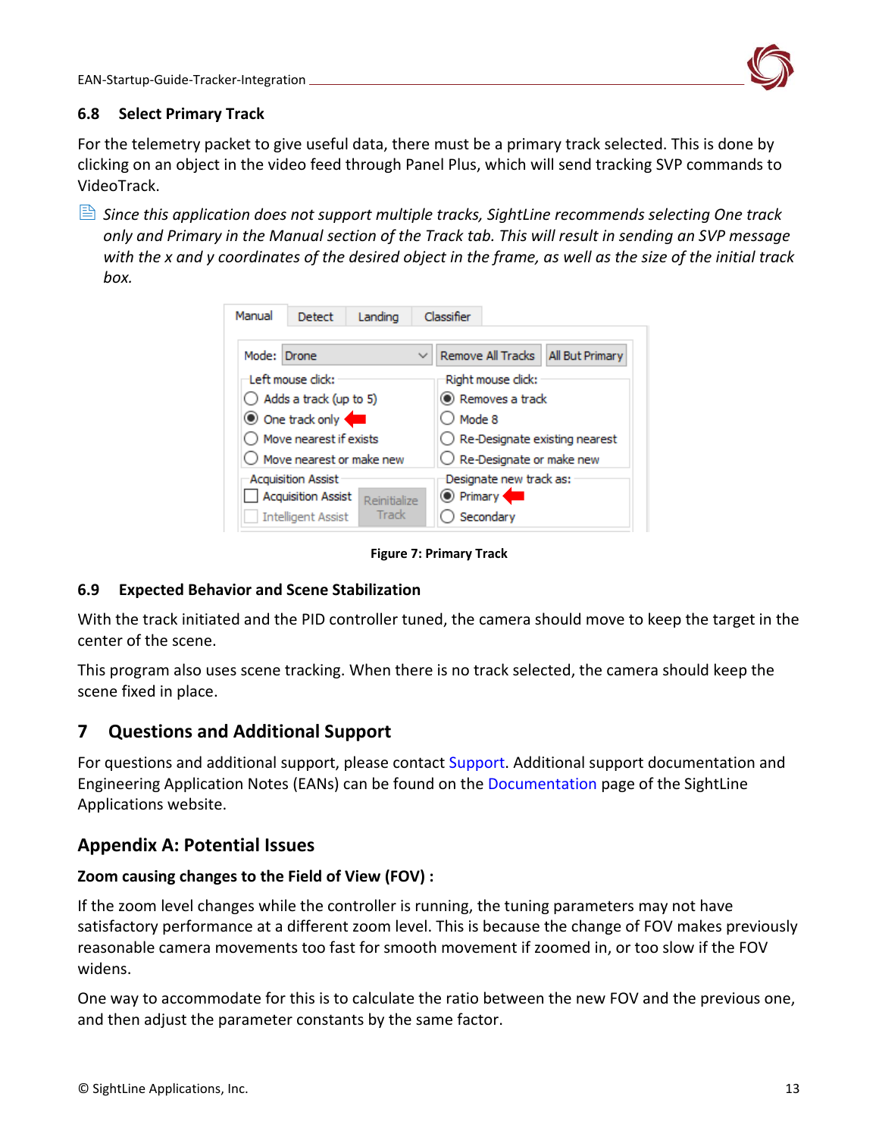![](_page_13_Picture_1.jpeg)

### <span id="page-13-0"></span>**6.8 Select Primary Track**

For the telemetry packet to give useful data, there must be a primary track selected. This is done by clicking on an object in the video feed through Panel Plus, which will send tracking SVP commands to VideoTrack.

 *Since this application does not support multiple tracks, SightLine recommends selecting One track only and Primary in the Manual section of the Track tab. This will result in sending an SVP message with the x and y coordinates of the desired object in the frame, as well as the size of the initial track box.*

| Manual                                          | Detect                                                 | Landing      |                                             | Classifier |                   |                        |  |  |
|-------------------------------------------------|--------------------------------------------------------|--------------|---------------------------------------------|------------|-------------------|------------------------|--|--|
| Mode: Drone                                     |                                                        |              | $\checkmark$                                |            | Remove All Tracks | <b>All But Primary</b> |  |  |
| Left mouse click:<br>Right mouse click:         |                                                        |              |                                             |            |                   |                        |  |  |
|                                                 | $\bigcirc$ Adds a track (up to 5)                      |              | C Removes a track                           |            |                   |                        |  |  |
|                                                 | O One track only                                       |              | ) Mode 8                                    |            |                   |                        |  |  |
|                                                 | Move nearest if exists                                 |              | $\bigcirc$ Re-Designate existing nearest    |            |                   |                        |  |  |
|                                                 | Move nearest or make new                               |              | $\bigcirc$ Re-Designate or make new         |            |                   |                        |  |  |
|                                                 | <b>Acquisition Assist</b><br><b>Acquisition Assist</b> | Reinitialize | Designate new track as:<br><b>O</b> Primary |            |                   |                        |  |  |
| Track<br>Secondary<br><b>Intelligent Assist</b> |                                                        |              |                                             |            |                   |                        |  |  |

**Figure 7: Primary Track**

### <span id="page-13-1"></span>**6.9 Expected Behavior and Scene Stabilization**

With the track initiated and the PID controller tuned, the camera should move to keep the target in the center of the scene.

This program also uses scene tracking. When there is no track selected, the camera should keep the scene fixed in place.

# <span id="page-13-2"></span>**7 Questions and Additional Support**

For questions and additional support, please contact [Support.](mailto:support@sightlineapplications.com) Additional support documentation and Engineering Application Notes (EANs) can be found on the [Documentation](https://sightlineapplications.com/documentation/) page of the SightLine Applications website.

# <span id="page-13-3"></span>**Appendix A: Potential Issues**

### **Zoom causing changes to the Field of View (FOV) :**

If the zoom level changes while the controller is running, the tuning parameters may not have satisfactory performance at a different zoom level. This is because the change of FOV makes previously reasonable camera movements too fast for smooth movement if zoomed in, or too slow if the FOV widens.

One way to accommodate for this is to calculate the ratio between the new FOV and the previous one, and then adjust the parameter constants by the same factor.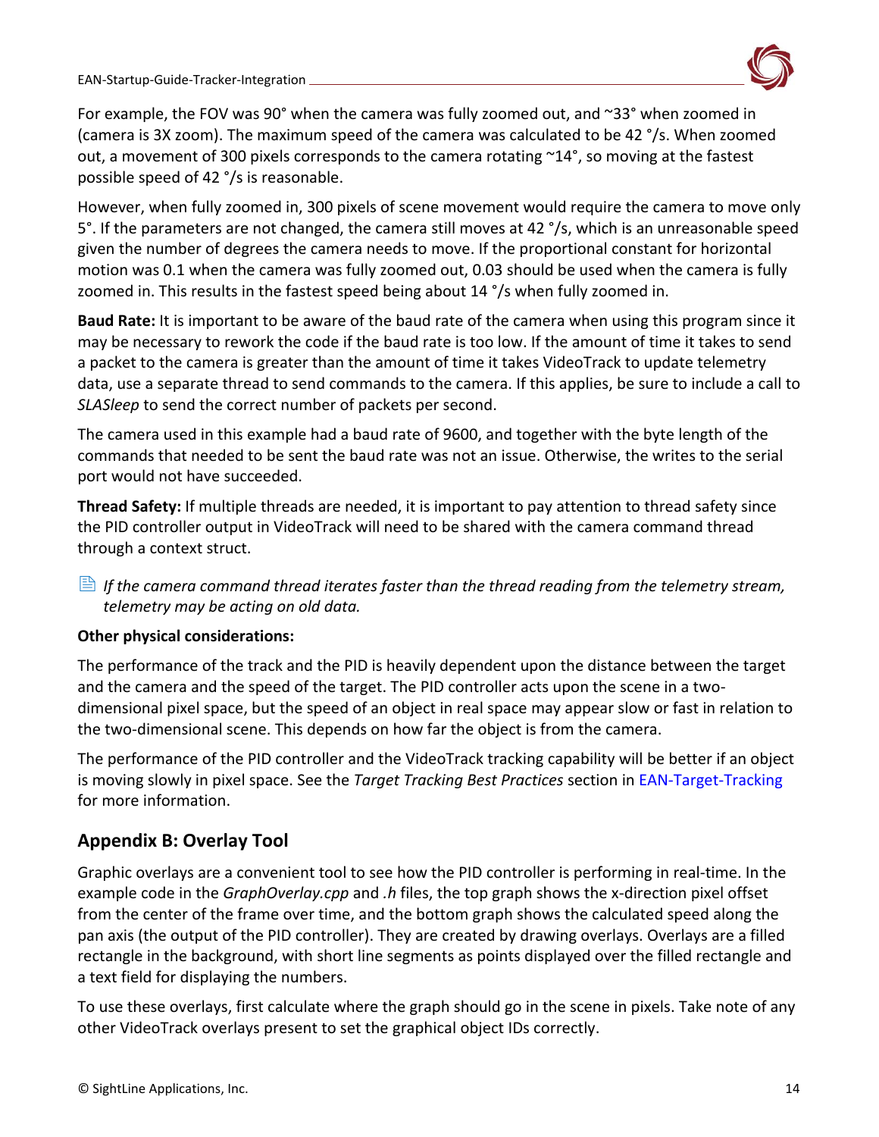![](_page_14_Picture_1.jpeg)

For example, the FOV was 90° when the camera was fully zoomed out, and ~33° when zoomed in (camera is 3X zoom). The maximum speed of the camera was calculated to be 42 °/s. When zoomed out, a movement of 300 pixels corresponds to the camera rotating ~14°, so moving at the fastest possible speed of 42 °/s is reasonable.

However, when fully zoomed in, 300 pixels of scene movement would require the camera to move only 5°. If the parameters are not changed, the camera still moves at 42 °/s, which is an unreasonable speed given the number of degrees the camera needs to move. If the proportional constant for horizontal motion was 0.1 when the camera was fully zoomed out, 0.03 should be used when the camera is fully zoomed in. This results in the fastest speed being about 14 °/s when fully zoomed in.

**Baud Rate:** It is important to be aware of the baud rate of the camera when using this program since it may be necessary to rework the code if the baud rate is too low. If the amount of time it takes to send a packet to the camera is greater than the amount of time it takes VideoTrack to update telemetry data, use a separate thread to send commands to the camera. If this applies, be sure to include a call to *SLASleep* to send the correct number of packets per second.

The camera used in this example had a baud rate of 9600, and together with the byte length of the commands that needed to be sent the baud rate was not an issue. Otherwise, the writes to the serial port would not have succeeded.

**Thread Safety:** If multiple threads are needed, it is important to pay attention to thread safety since the PID controller output in VideoTrack will need to be shared with the camera command thread through a context struct.

 $\triangleq$  If the camera command thread iterates faster than the thread reading from the telemetry stream, *telemetry may be acting on old data.* 

### **Other physical considerations:**

The performance of the track and the PID is heavily dependent upon the distance between the target and the camera and the speed of the target. The PID controller acts upon the scene in a twodimensional pixel space, but the speed of an object in real space may appear slow or fast in relation to the two-dimensional scene. This depends on how far the object is from the camera.

The performance of the PID controller and the VideoTrack tracking capability will be better if an object is moving slowly in pixel space. See the *Target Tracking Best Practices* section in [EAN-Target-Tracking](https://sightlineapplications.com/wp-content/uploads/EAN-Target-Tracking.pdf) for more information.

# <span id="page-14-0"></span>**Appendix B: Overlay Tool**

Graphic overlays are a convenient tool to see how the PID controller is performing in real-time. In the example code in the *GraphOverlay.cpp* and *.h* files, the top graph shows the x-direction pixel offset from the center of the frame over time, and the bottom graph shows the calculated speed along the pan axis (the output of the PID controller). They are created by drawing overlays. Overlays are a filled rectangle in the background, with short line segments as points displayed over the filled rectangle and a text field for displaying the numbers.

To use these overlays, first calculate where the graph should go in the scene in pixels. Take note of any other VideoTrack overlays present to set the graphical object IDs correctly.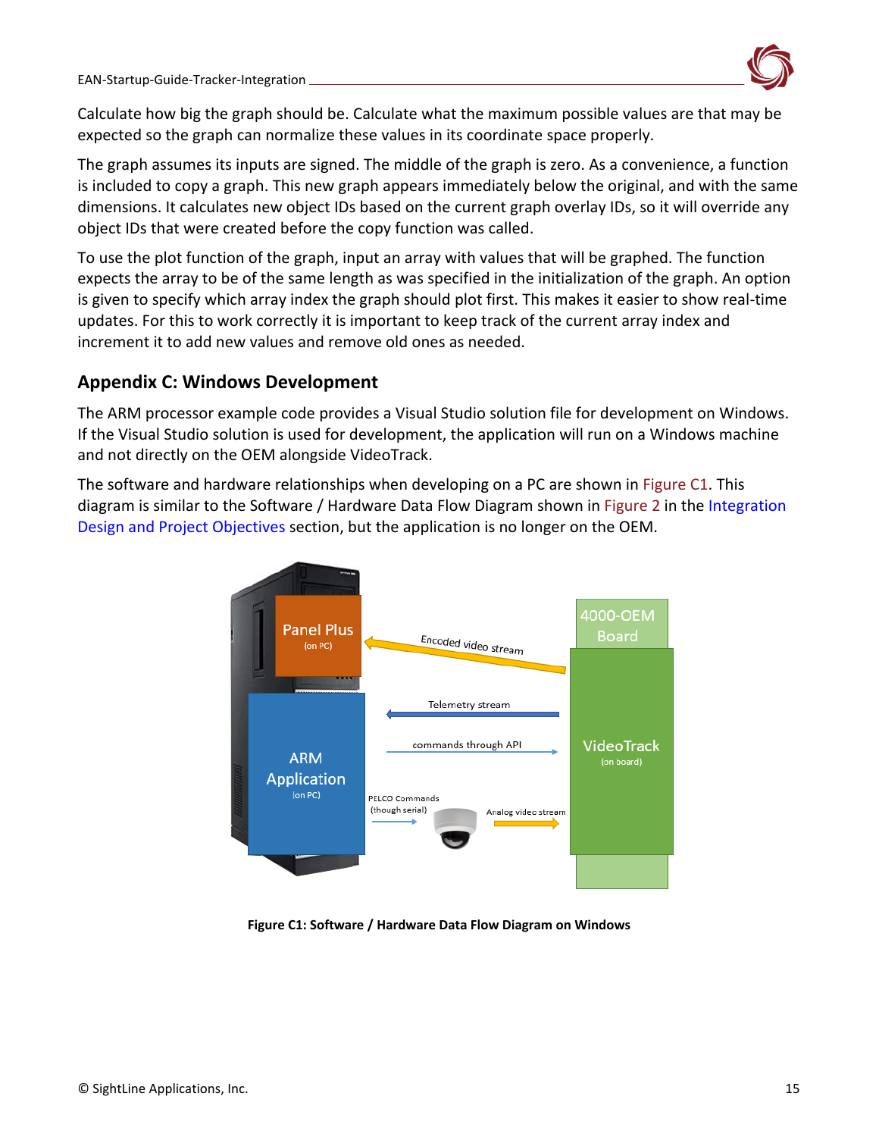![](_page_15_Picture_1.jpeg)

Calculate how big the graph should be. Calculate what the maximum possible values are that may be expected so the graph can normalize these values in its coordinate space properly.

The graph assumes its inputs are signed. The middle of the graph is zero. As a convenience, a function is included to copy a graph. This new graph appears immediately below the original, and with the same dimensions. It calculates new object IDs based on the current graph overlay IDs, so it will override any object IDs that were created before the copy function was called.

To use the plot function of the graph, input an array with values that will be graphed. The function expects the array to be of the same length as was specified in the initialization of the graph. An option is given to specify which array index the graph should plot first. This makes it easier to show real-time updates. For this to work correctly it is important to keep track of the current array index and increment it to add new values and remove old ones as needed.

# <span id="page-15-0"></span>**Appendix C: Windows Development**

The ARM processor example code provides a Visual Studio solution file for development on Windows. If the Visual Studio solution is used for development, the application will run on a Windows machine and not directly on the OEM alongside VideoTrack.

The software and hardware relationships when developing on a PC are shown in Figure C1. This diagram is similar to the Software / Hardware Data Flow Diagram shown in Figure 2 in the Integration [Design and Project Objectives](#page-3-0) section, but the application is no longer on the OEM.

![](_page_15_Figure_8.jpeg)

**Figure C1: Software / Hardware Data Flow Diagram on Windows**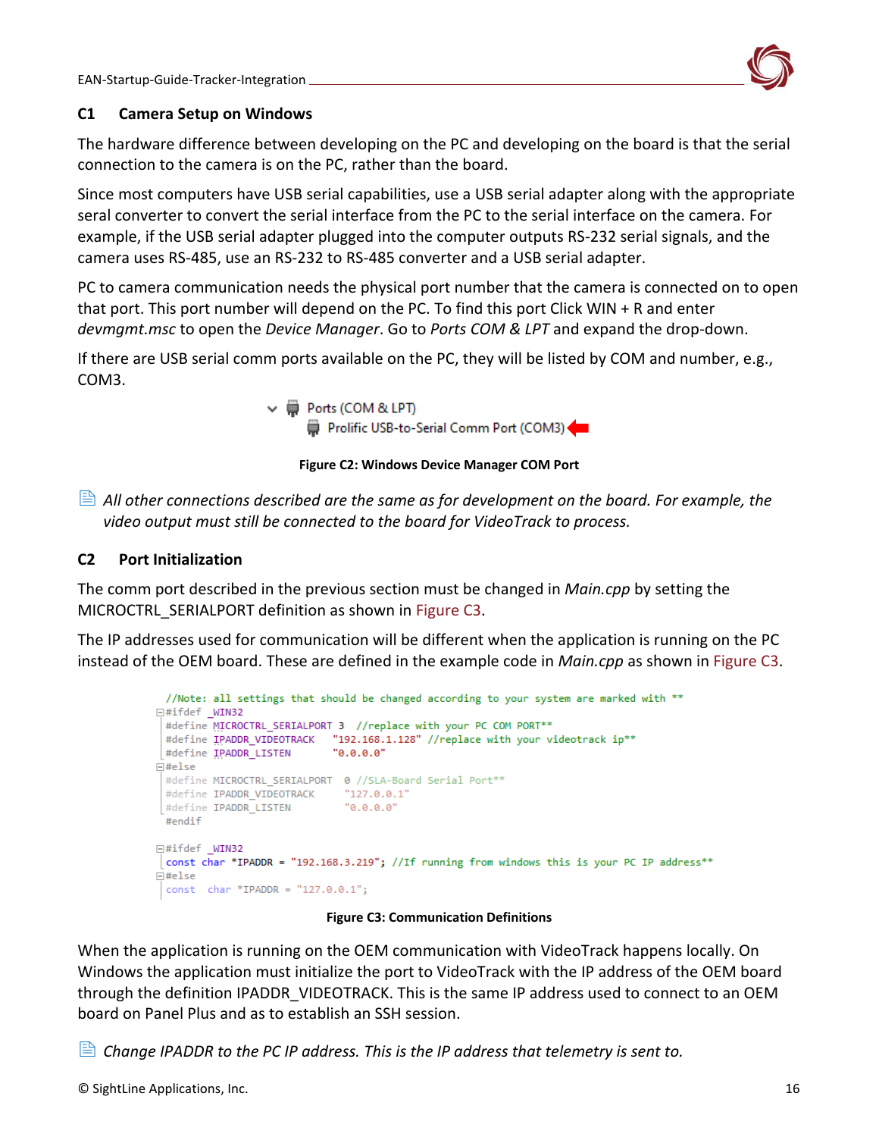![](_page_16_Picture_1.jpeg)

### <span id="page-16-0"></span>**C1 Camera Setup on Windows**

The hardware difference between developing on the PC and developing on the board is that the serial connection to the camera is on the PC, rather than the board.

Since most computers have USB serial capabilities, use a USB serial adapter along with the appropriate seral converter to convert the serial interface from the PC to the serial interface on the camera. For example, if the USB serial adapter plugged into the computer outputs RS-232 serial signals, and the camera uses RS-485, use an RS-232 to RS-485 converter and a USB serial adapter.

PC to camera communication needs the physical port number that the camera is connected on to open that port. This port number will depend on the PC. To find this port Click WIN + R and enter *devmgmt.msc* to open the *Device Manager*. Go to *Ports COM & LPT* and expand the drop-down.

If there are USB serial comm ports available on the PC, they will be listed by COM and number, e.g., COM3.

> ↓ ■ Ports (COM & LPT) Prolific USB-to-Serial Comm Port (COM3)

**Figure C2: Windows Device Manager COM Port**

 *All other connections described are the same as for development on the board. For example, the video output must still be connected to the board for VideoTrack to process.* 

### <span id="page-16-1"></span>**C2 Port Initialization**

The comm port described in the previous section must be changed in *Main.cpp* by setting the MICROCTRL SERIALPORT definition as shown in Figure C3.

The IP addresses used for communication will be different when the application is running on the PC instead of the OEM board. These are defined in the example code in *Main.cpp* as shown in Figure C3.

```
//Note: all settings that should be changed according to your system are marked with **
⊟#ifdef WIN32
 #define MICROCTRL_SERIALPORT 3 //replace with your PC COM PORT**
 #define IPADDR_VIDEOTRACK "192.168.1.128" //replace with your videotrack ip**
                           "0.0.0.0"#define IPADDR LISTEN
日#else
 #define MICROCTRL SERIALPORT 0 //SLA-Board Serial Port**
 #define IPADDR_VIDEOTRACK "127.0.0.1"
                             "0.0.0.0"#define IPADDR_LISTEN
 #endif
⊟#ifdef WIN32
const char *IPADDR = "192.168.3.219"; //If running from windows this is your PC IP address**
\boxminus#else
 const char *IPADDR = "127.0.0.1";
```
#### **Figure C3: Communication Definitions**

When the application is running on the OEM communication with VideoTrack happens locally. On Windows the application must initialize the port to VideoTrack with the IP address of the OEM board through the definition IPADDR\_VIDEOTRACK. This is the same IP address used to connect to an OEM board on Panel Plus and as to establish an SSH session.

*Change IPADDR to the PC IP address. This is the IP address that telemetry is sent to.*